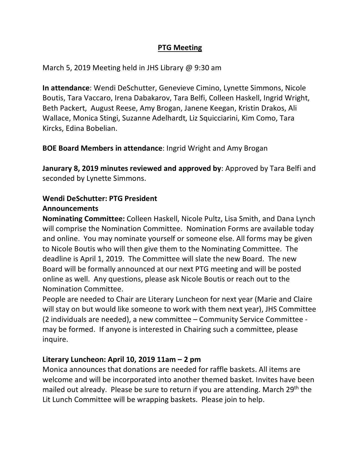#### **PTG Meeting**

March 5, 2019 Meeting held in JHS Library @ 9:30 am

**In attendance**: Wendi DeSchutter, Genevieve Cimino, Lynette Simmons, Nicole Boutis, Tara Vaccaro, Irena Dabakarov, Tara Belfi, Colleen Haskell, Ingrid Wright, Beth Packert, August Reese, Amy Brogan, Janene Keegan, Kristin Drakos, Ali Wallace, Monica Stingi, Suzanne Adelhardt, Liz Squicciarini, Kim Como, Tara Kircks, Edina Bobelian.

**BOE Board Members in attendance**: Ingrid Wright and Amy Brogan

**Janurary 8, 2019 minutes reviewed and approved by**: Approved by Tara Belfi and seconded by Lynette Simmons.

# **Wendi DeSchutter: PTG President**

## **Announcements**

**Nominating Committee:** Colleen Haskell, Nicole Pultz, Lisa Smith, and Dana Lynch will comprise the Nomination Committee. Nomination Forms are available today and online. You may nominate yourself or someone else. All forms may be given to Nicole Boutis who will then give them to the Nominating Committee. The deadline is April 1, 2019. The Committee will slate the new Board. The new Board will be formally announced at our next PTG meeting and will be posted online as well. Any questions, please ask Nicole Boutis or reach out to the Nomination Committee.

People are needed to Chair are Literary Luncheon for next year (Marie and Claire will stay on but would like someone to work with them next year), JHS Committee (2 individuals are needed), a new committee – Community Service Committee may be formed. If anyone is interested in Chairing such a committee, please inquire.

#### **Literary Luncheon: April 10, 2019 11am – 2 pm**

Monica announces that donations are needed for raffle baskets. All items are welcome and will be incorporated into another themed basket. Invites have been mailed out already. Please be sure to return if you are attending. March 29<sup>th</sup> the Lit Lunch Committee will be wrapping baskets. Please join to help.